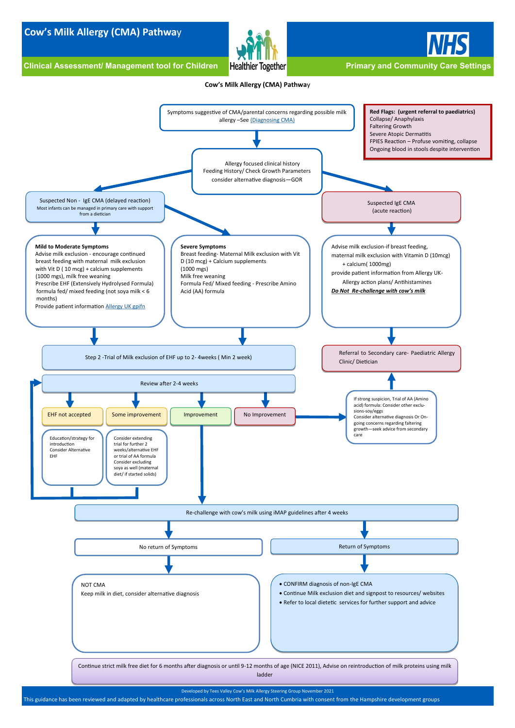# <span id="page-0-0"></span>**Cow's Milk Allergy (CMA) Pathwa**y

Clinical Assessment/ Management tool for Children Healthier Together **Primary and Community Care Settings** 





### **Cow's Milk Allergy (CMA) Pathwa**y

Developed by Tees Valley Cow's Milk Allergy Steering Group November 2021

This guidance has been reviewed and adapted by healthcare professionals across North East and North Cumbria with consent from the Hampshire development groups



Continue strict milk free diet for 6 months after diagnosis or until 9-12 months of age (NICE 2011), Advise on reintroduction of milk proteins using milk ladder

NOT CMA

Keep milk in diet, consider alternative diagnosis

- CONFIRM diagnosis of non-IgE CMA
- Continue Milk exclusion diet and signpost to resources/ websites
- Refer to local dietetic services for further support and advice